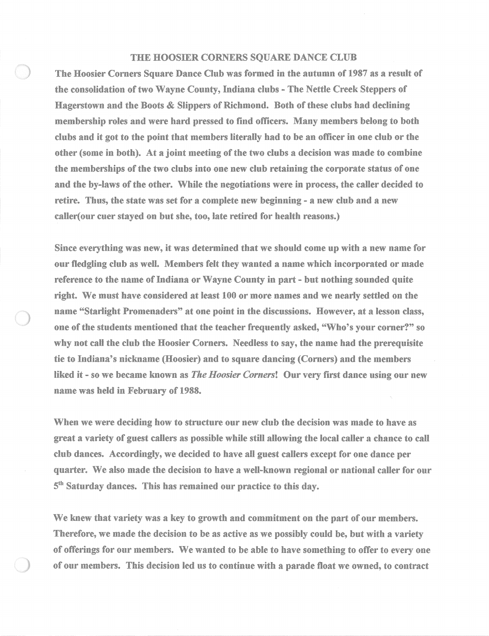## THE HOOSIER CORNERS SQUARE DANCE CLUB

The Hoosier Corners Square Dance Club was formed in the autumn of 1987 as a result of the consolidation of two Wayne County, Indiana clubs - The Nettle Creek Steppers of Hagerstown and the Boots & Slippers of Richmond. Both of these clubs had declining membership roles and were hard pressed to find officers. Many members belong to both clubs and it got to the point that members literally had to be an officer in one club or the other (some in both). At a joint meeting of the two clubs a decision was made to combine the memberships of the two clubs into one new club retaining the corporate status of one and the by-laws of the other. While the negotiations were in process, the caller decided to retire. Thus, the state was set for a complete new beginning - a new club and a new caller( our cuer stayed on but she, too, late retired for health reasons.)

Since everything was new, it was determined that we should come up with a new name for our fledgling club as well. Members felt they wanted a name which incorporated or made reference to the name of Indiana or Wayne County in part - but nothing sounded quite right. We must have considered at least 100 or more names and we nearly settled on the name "Starlight Promenaders" at one point in the discussions. However, at a lesson class, one of the students mentioned that the teacher frequently asked, "Who's your corner?" so why not call the club the Hoosier Corners. Needless to say, the name had the prerequisite tie to Indiana's nickname (Hoosier) and to square dancing (Corners) and the members liked it - so we became known as *The Hoosier Corners!* Our very first dance using our new name was held in February of 1988.

When we were deciding how to structure our new club the decision was made to have as great a variety of guest callers as possible while still allowing the local caller a chance to call club dances. Accordingly, we decided to have all guest callers except for one dance per quarter. We also made the decision to have a well-known regional or national caller for our  $5<sup>th</sup>$  Saturday dances. This has remained our practice to this day.

We knew that variety was a key to growth and commitment on the part of our members. Therefore, we made the decision to be as active as we possibly could be, but with a variety of offerings for our members. We wanted to be able to have something to offer to every one of our members. This decision led us to continue with a parade float we owned, to contract